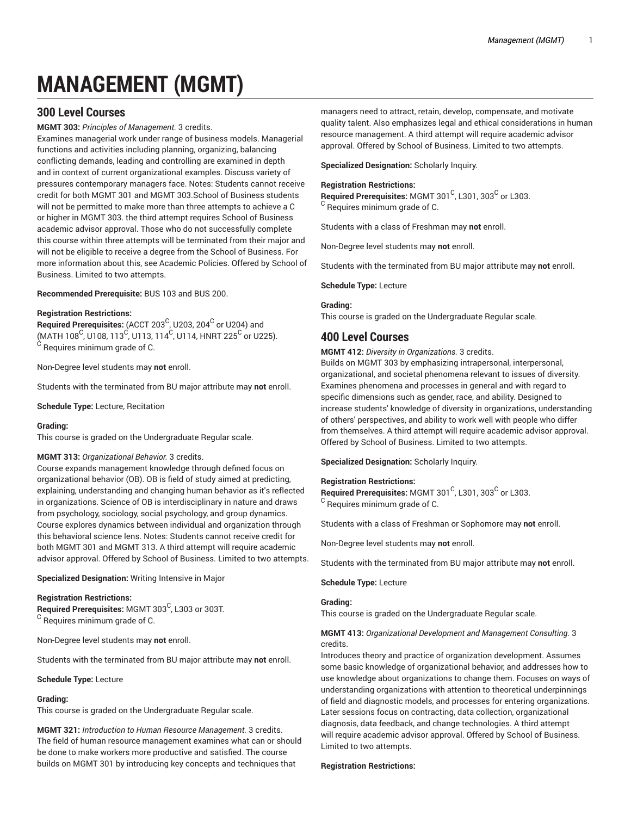# **MANAGEMENT (MGMT)**

# **300 Level Courses**

# **MGMT 303:** *Principles of Management.* 3 credits.

Examines managerial work under range of business models. Managerial functions and activities including planning, organizing, balancing conflicting demands, leading and controlling are examined in depth and in context of current organizational examples. Discuss variety of pressures contemporary managers face. Notes: Students cannot receive credit for both MGMT 301 and MGMT 303.School of Business students will not be permitted to make more than three attempts to achieve a C or higher in MGMT 303. the third attempt requires School of Business academic advisor approval. Those who do not successfully complete this course within three attempts will be terminated from their major and will not be eligible to receive a degree from the School of Business. For more information about this, see Academic Policies. Offered by School of Business. Limited to two attempts.

**Recommended Prerequisite:** BUS 103 and BUS 200.

# **Registration Restrictions:**

 $\bf{Required \textit{Prerequisite:}}$  (ACCT 203 $^{\rm C}$ , U203, 204 $^{\rm C}$  or U204) and (MATH 108<sup>C</sup>, U108, 113<sup>C</sup>, U113, 114<sup>C</sup>, U114, HNRT 225<sup>C</sup> or U225).  $^{\rm C}$  Requires minimum grade of C.

Non-Degree level students may **not** enroll.

Students with the terminated from BU major attribute may **not** enroll.

**Schedule Type:** Lecture, Recitation

# **Grading:**

This course is graded on the Undergraduate Regular scale.

# **MGMT 313:** *Organizational Behavior.* 3 credits.

Course expands management knowledge through defined focus on organizational behavior (OB). OB is field of study aimed at predicting, explaining, understanding and changing human behavior as it's reflected in organizations. Science of OB is interdisciplinary in nature and draws from psychology, sociology, social psychology, and group dynamics. Course explores dynamics between individual and organization through this behavioral science lens. Notes: Students cannot receive credit for both MGMT 301 and MGMT 313. A third attempt will require academic advisor approval. Offered by School of Business. Limited to two attempts.

**Specialized Designation:** Writing Intensive in Major

#### **Registration Restrictions:**

**Required Prerequisites:** MGMT 303 C , L303 or 303T.  $^{\rm C}$  Requires minimum grade of C.

Non-Degree level students may **not** enroll.

Students with the terminated from BU major attribute may **not** enroll.

#### **Schedule Type:** Lecture

# **Grading:**

This course is graded on the Undergraduate Regular scale.

**MGMT 321:** *Introduction to Human Resource Management.* 3 credits. The field of human resource management examines what can or should be done to make workers more productive and satisfied. The course builds on MGMT 301 by introducing key concepts and techniques that

managers need to attract, retain, develop, compensate, and motivate quality talent. Also emphasizes legal and ethical considerations in human resource management. A third attempt will require academic advisor approval. Offered by School of Business. Limited to two attempts.

**Specialized Designation:** Scholarly Inquiry.

#### **Registration Restrictions:**

Required Prerequisites: MGMT 301<sup>C</sup>, L301, 303<sup>C</sup> or L303.  $^{\rm C}$  Requires minimum grade of C.

Students with a class of Freshman may **not** enroll.

Non-Degree level students may **not** enroll.

Students with the terminated from BU major attribute may **not** enroll.

**Schedule Type:** Lecture

# **Grading:**

This course is graded on the Undergraduate Regular scale.

# **400 Level Courses**

**MGMT 412:** *Diversity in Organizations.* 3 credits.

Builds on MGMT 303 by emphasizing intrapersonal, interpersonal, organizational, and societal phenomena relevant to issues of diversity. Examines phenomena and processes in general and with regard to specific dimensions such as gender, race, and ability. Designed to increase students' knowledge of diversity in organizations, understanding of others' perspectives, and ability to work well with people who differ from themselves. A third attempt will require academic advisor approval. Offered by School of Business. Limited to two attempts.

**Specialized Designation:** Scholarly Inquiry.

# **Registration Restrictions:**

Required Prerequisites: MGMT 301<sup>C</sup>, L301, 303<sup>C</sup> or L303.  $^{\rm C}$  Requires minimum grade of C.

Students with a class of Freshman or Sophomore may **not** enroll.

Non-Degree level students may **not** enroll.

Students with the terminated from BU major attribute may **not** enroll.

# **Schedule Type:** Lecture

# **Grading:**

This course is graded on the Undergraduate Regular scale.

# **MGMT 413:** *Organizational Development and Management Consulting.* 3 credits.

Introduces theory and practice of organization development. Assumes some basic knowledge of organizational behavior, and addresses how to use knowledge about organizations to change them. Focuses on ways of understanding organizations with attention to theoretical underpinnings of field and diagnostic models, and processes for entering organizations. Later sessions focus on contracting, data collection, organizational diagnosis, data feedback, and change technologies. A third attempt will require academic advisor approval. Offered by School of Business. Limited to two attempts.

#### **Registration Restrictions:**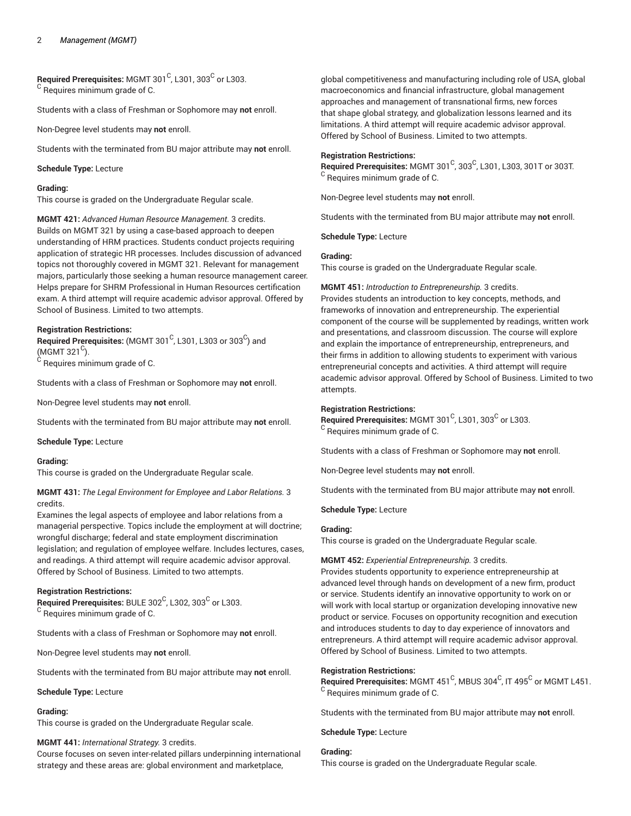$\bm{\mathsf{Required} }$  Prerequisites: MGMT 301 $^{\complement}$ , L301, 303 $^{\complement}$  or L303.  $^{\rm C}$  Requires minimum grade of C.

Students with a class of Freshman or Sophomore may **not** enroll.

Non-Degree level students may **not** enroll.

Students with the terminated from BU major attribute may **not** enroll.

#### **Schedule Type:** Lecture

#### **Grading:**

This course is graded on the Undergraduate Regular scale.

**MGMT 421:** *Advanced Human Resource Management.* 3 credits. Builds on MGMT 321 by using a case-based approach to deepen understanding of HRM practices. Students conduct projects requiring application of strategic HR processes. Includes discussion of advanced topics not thoroughly covered in MGMT 321. Relevant for management majors, particularly those seeking a human resource management career. Helps prepare for SHRM Professional in Human Resources certification exam. A third attempt will require academic advisor approval. Offered by School of Business. Limited to two attempts.

# **Registration Restrictions:**

 $\mathsf{\mathsf{Required\ Pre}}$  recequisites: (MGMT 301 $^\mathsf{C}$ , L301, L303 or 303 $^\mathsf{C}$ ) and (MGMT 321 $^{\circ}$ ).  $^{\rm C}$  Requires minimum grade of C.

Students with a class of Freshman or Sophomore may **not** enroll.

Non-Degree level students may **not** enroll.

Students with the terminated from BU major attribute may **not** enroll.

#### **Schedule Type:** Lecture

#### **Grading:**

This course is graded on the Undergraduate Regular scale.

**MGMT 431:** *The Legal Environment for Employee and Labor Relations.* 3 credits.

Examines the legal aspects of employee and labor relations from a managerial perspective. Topics include the employment at will doctrine; wrongful discharge; federal and state employment discrimination legislation; and regulation of employee welfare. Includes lectures, cases, and readings. A third attempt will require academic advisor approval. Offered by School of Business. Limited to two attempts.

#### **Registration Restrictions:**

 $\mathsf{\textbf{Required} Prerequires: BULE 302}^\mathsf{C}$ , L302, 303 $^\mathsf{C}$  or L303.  $\rm ^C$  Requires minimum grade of C.

Students with a class of Freshman or Sophomore may **not** enroll.

Non-Degree level students may **not** enroll.

Students with the terminated from BU major attribute may **not** enroll.

#### **Schedule Type:** Lecture

#### **Grading:**

This course is graded on the Undergraduate Regular scale.

# **MGMT 441:** *International Strategy.* 3 credits.

Course focuses on seven inter-related pillars underpinning international strategy and these areas are: global environment and marketplace,

global competitiveness and manufacturing including role of USA, global macroeconomics and financial infrastructure, global management approaches and management of transnational firms, new forces that shape global strategy, and globalization lessons learned and its limitations. A third attempt will require academic advisor approval. Offered by School of Business. Limited to two attempts.

## **Registration Restrictions:**

**Required Prerequisites: MGMT 301<sup>C</sup>, 303<sup>C</sup>, L301, L303, 301T or 303T.**  $\rm ^C$  Requires minimum grade of C.

Non-Degree level students may **not** enroll.

Students with the terminated from BU major attribute may **not** enroll.

**Schedule Type:** Lecture

#### **Grading:**

This course is graded on the Undergraduate Regular scale.

**MGMT 451:** *Introduction to Entrepreneurship.* 3 credits. Provides students an introduction to key concepts, methods, and frameworks of innovation and entrepreneurship. The experiential component of the course will be supplemented by readings, written work and presentations, and classroom discussion. The course will explore and explain the importance of entrepreneurship, entrepreneurs, and their firms in addition to allowing students to experiment with various entrepreneurial concepts and activities. A third attempt will require academic advisor approval. Offered by School of Business. Limited to two attempts.

# **Registration Restrictions:**

Required Prerequisites: MGMT 301<sup>C</sup>, L301, 303<sup>C</sup> or L303.  $\rm ^C$  Requires minimum grade of C.

Students with a class of Freshman or Sophomore may **not** enroll.

Non-Degree level students may **not** enroll.

Students with the terminated from BU major attribute may **not** enroll.

**Schedule Type:** Lecture

# **Grading:**

This course is graded on the Undergraduate Regular scale.

#### **MGMT 452:** *Experiential Entrepreneurship.* 3 credits.

Provides students opportunity to experience entrepreneurship at advanced level through hands on development of a new firm, product or service. Students identify an innovative opportunity to work on or will work with local startup or organization developing innovative new product or service. Focuses on opportunity recognition and execution and introduces students to day to day experience of innovators and entrepreneurs. A third attempt will require academic advisor approval. Offered by School of Business. Limited to two attempts.

#### **Registration Restrictions:**

 $\mathsf{\mathsf{Required\ Pre} }$  reguisites: MGMT 451  $^\mathsf{C}$ , MBUS 304  $^\mathsf{C}$ , IT 495  $^\mathsf{C}$  or MGMT L451.  $^{\rm C}$  Requires minimum grade of C.

Students with the terminated from BU major attribute may **not** enroll.

**Schedule Type:** Lecture

# **Grading:**

This course is graded on the Undergraduate Regular scale.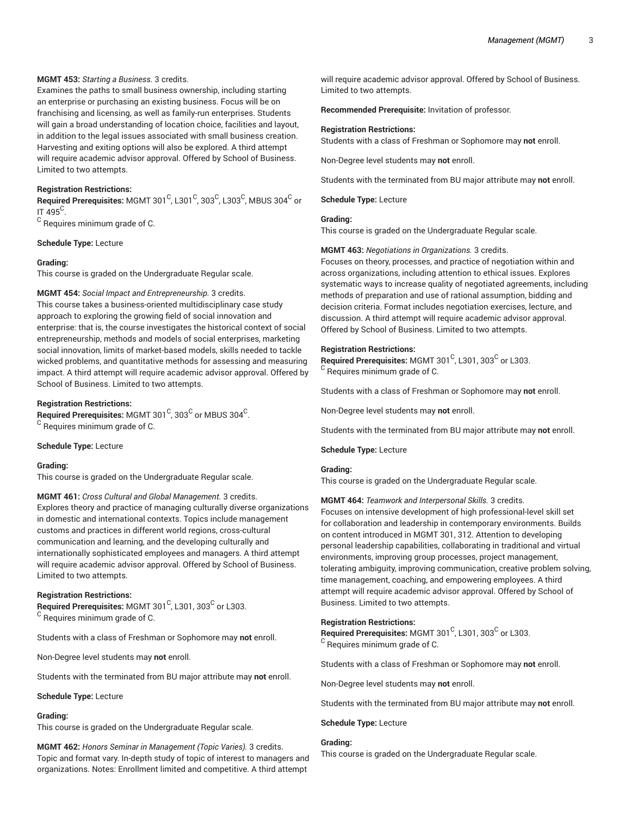# **MGMT 453:** *Starting a Business.* 3 credits.

Examines the paths to small business ownership, including starting an enterprise or purchasing an existing business. Focus will be on franchising and licensing, as well as family-run enterprises. Students will gain a broad understanding of location choice, facilities and layout, in addition to the legal issues associated with small business creation. Harvesting and exiting options will also be explored. A third attempt will require academic advisor approval. Offered by School of Business. Limited to two attempts.

## **Registration Restrictions:**

 $\bf{Required \textit{Prerequisite:} \textbf{MGMT 301}^C}$ , L301 $\rm{^C, 303^C, 1303^C, MBUS\ 304^C}$  or IT 495 $^{\circ}$ .

 $^{\rm C}$  Requires minimum grade of C.

**Schedule Type:** Lecture

#### **Grading:**

This course is graded on the Undergraduate Regular scale.

#### **MGMT 454:** *Social Impact and Entrepreneurship.* 3 credits.

This course takes a business-oriented multidisciplinary case study approach to exploring the growing field of social innovation and enterprise: that is, the course investigates the historical context of social entrepreneurship, methods and models of social enterprises, marketing social innovation, limits of market-based models, skills needed to tackle wicked problems, and quantitative methods for assessing and measuring impact. A third attempt will require academic advisor approval. Offered by School of Business. Limited to two attempts.

# **Registration Restrictions:**

 $\mathsf{\mathsf{Required} Prerequires: MGMT\,301}^\mathsf{C}$ , 303 $^\mathsf{C}$  or MBUS 304 $^\mathsf{C}$ .  $^{\rm C}$  Requires minimum grade of C.

#### **Schedule Type:** Lecture

#### **Grading:**

This course is graded on the Undergraduate Regular scale.

**MGMT 461:** *Cross Cultural and Global Management.* 3 credits. Explores theory and practice of managing culturally diverse organizations in domestic and international contexts. Topics include management customs and practices in different world regions, cross-cultural communication and learning, and the developing culturally and internationally sophisticated employees and managers. A third attempt will require academic advisor approval. Offered by School of Business. Limited to two attempts.

#### **Registration Restrictions:**

 $\mathsf{\mathsf{Required\ Pre}}$ recquisites: MGMT 301 $^\mathsf{C}$ , L301, 303 $^\mathsf{C}$  or L303.  $^{\rm C}$  Requires minimum grade of C.

Students with a class of Freshman or Sophomore may **not** enroll.

Non-Degree level students may **not** enroll.

Students with the terminated from BU major attribute may **not** enroll.

**Schedule Type:** Lecture

#### **Grading:**

This course is graded on the Undergraduate Regular scale.

**MGMT 462:** *Honors Seminar in Management (Topic Varies).* 3 credits. Topic and format vary. In-depth study of topic of interest to managers and organizations. Notes: Enrollment limited and competitive. A third attempt

will require academic advisor approval. Offered by School of Business. Limited to two attempts.

**Recommended Prerequisite:** Invitation of professor.

#### **Registration Restrictions:**

Students with a class of Freshman or Sophomore may **not** enroll.

Non-Degree level students may **not** enroll.

Students with the terminated from BU major attribute may **not** enroll.

#### **Schedule Type:** Lecture

## **Grading:**

This course is graded on the Undergraduate Regular scale.

**MGMT 463:** *Negotiations in Organizations.* 3 credits.

Focuses on theory, processes, and practice of negotiation within and across organizations, including attention to ethical issues. Explores systematic ways to increase quality of negotiated agreements, including methods of preparation and use of rational assumption, bidding and decision criteria. Format includes negotiation exercises, lecture, and discussion. A third attempt will require academic advisor approval. Offered by School of Business. Limited to two attempts.

#### **Registration Restrictions:**

 $\mathsf{\mathsf{Required}~Prerequires:~MGMT~301}^\mathsf{C}$ , L301, 303 $^\mathsf{C}$  or L303.  $^{\rm C}$  Requires minimum grade of C.

Students with a class of Freshman or Sophomore may **not** enroll.

Non-Degree level students may **not** enroll.

Students with the terminated from BU major attribute may **not** enroll.

#### **Schedule Type:** Lecture

#### **Grading:**

This course is graded on the Undergraduate Regular scale.

**MGMT 464:** *Teamwork and Interpersonal Skills.* 3 credits. Focuses on intensive development of high professional-level skill set for collaboration and leadership in contemporary environments. Builds on content introduced in MGMT 301, 312. Attention to developing personal leadership capabilities, collaborating in traditional and virtual environments, improving group processes, project management, tolerating ambiguity, improving communication, creative problem solving, time management, coaching, and empowering employees. A third attempt will require academic advisor approval. Offered by School of Business. Limited to two attempts.

#### **Registration Restrictions:**

Required Prerequisites: MGMT 301<sup>C</sup>, L301, 303<sup>C</sup> or L303.  $\rm ^C$  Requires minimum grade of C.

Students with a class of Freshman or Sophomore may **not** enroll.

Non-Degree level students may **not** enroll.

Students with the terminated from BU major attribute may **not** enroll.

**Schedule Type:** Lecture

# **Grading:**

This course is graded on the Undergraduate Regular scale.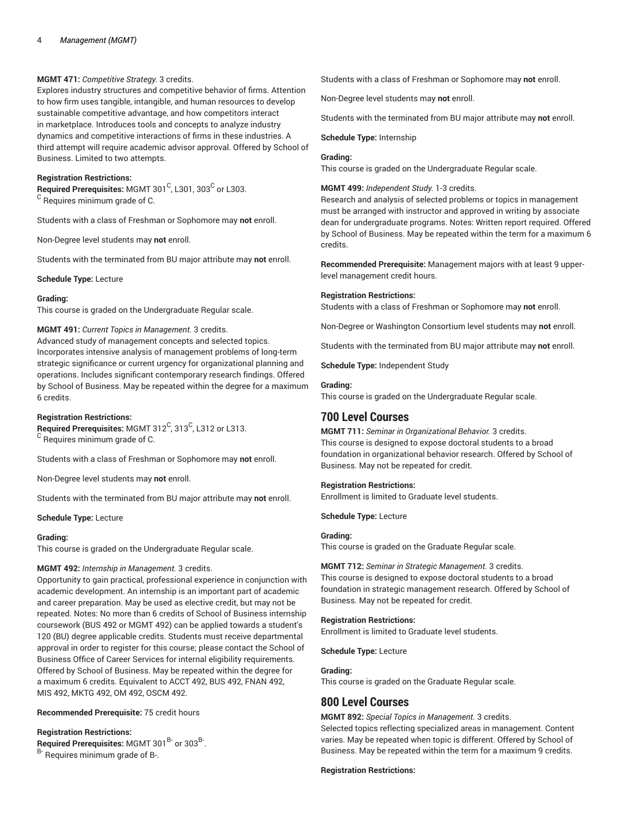# **MGMT 471:** *Competitive Strategy.* 3 credits.

Explores industry structures and competitive behavior of firms. Attention to how firm uses tangible, intangible, and human resources to develop sustainable competitive advantage, and how competitors interact in marketplace. Introduces tools and concepts to analyze industry dynamics and competitive interactions of firms in these industries. A third attempt will require academic advisor approval. Offered by School of Business. Limited to two attempts.

#### **Registration Restrictions:**

 $\mathsf{\mathsf{Required\ Pre}}$ recquisites: MGMT 301 $^\mathsf{C}$ , L301, 303 $^\mathsf{C}$  or L303.  $^{\rm C}$  Requires minimum grade of C.

Students with a class of Freshman or Sophomore may **not** enroll.

Non-Degree level students may **not** enroll.

Students with the terminated from BU major attribute may **not** enroll.

**Schedule Type:** Lecture

#### **Grading:**

This course is graded on the Undergraduate Regular scale.

# **MGMT 491:** *Current Topics in Management.* 3 credits.

Advanced study of management concepts and selected topics. Incorporates intensive analysis of management problems of long-term strategic significance or current urgency for organizational planning and operations. Includes significant contemporary research findings. Offered by School of Business. May be repeated within the degree for a maximum 6 credits.

#### **Registration Restrictions:**

Required Prerequisites: MGMT 312<sup>C</sup>, 313<sup>C</sup>, L312 or L313.  $^{\rm C}$  Requires minimum grade of C.

Students with a class of Freshman or Sophomore may **not** enroll.

Non-Degree level students may **not** enroll.

Students with the terminated from BU major attribute may **not** enroll.

**Schedule Type:** Lecture

#### **Grading:**

This course is graded on the Undergraduate Regular scale.

# **MGMT 492:** *Internship in Management.* 3 credits.

Opportunity to gain practical, professional experience in conjunction with academic development. An internship is an important part of academic and career preparation. May be used as elective credit, but may not be repeated. Notes: No more than 6 credits of School of Business internship coursework (BUS 492 or MGMT 492) can be applied towards a student's 120 (BU) degree applicable credits. Students must receive departmental approval in order to register for this course; please contact the School of Business Office of Career Services for internal eligibility requirements. Offered by School of Business. May be repeated within the degree for a maximum 6 credits. Equivalent to ACCT 492, BUS 492, FNAN 492, MIS 492, MKTG 492, OM 492, OSCM 492.

**Recommended Prerequisite:** 75 credit hours

# **Registration Restrictions:**

Required Prerequisites: MGMT 301<sup>B-</sup> or 303<sup>B-</sup>.

B- Requires minimum grade of B-.

Students with a class of Freshman or Sophomore may **not** enroll.

Non-Degree level students may **not** enroll.

Students with the terminated from BU major attribute may **not** enroll.

#### **Schedule Type:** Internship

## **Grading:**

This course is graded on the Undergraduate Regular scale.

## **MGMT 499:** *Independent Study.* 1-3 credits.

Research and analysis of selected problems or topics in management must be arranged with instructor and approved in writing by associate dean for undergraduate programs. Notes: Written report required. Offered by School of Business. May be repeated within the term for a maximum 6 credits.

**Recommended Prerequisite:** Management majors with at least 9 upperlevel management credit hours.

#### **Registration Restrictions:**

Students with a class of Freshman or Sophomore may **not** enroll.

Non-Degree or Washington Consortium level students may **not** enroll.

Students with the terminated from BU major attribute may **not** enroll.

**Schedule Type:** Independent Study

#### **Grading:**

This course is graded on the Undergraduate Regular scale.

# **700 Level Courses**

**MGMT 711:** *Seminar in Organizational Behavior.* 3 credits. This course is designed to expose doctoral students to a broad foundation in organizational behavior research. Offered by School of Business. May not be repeated for credit.

# **Registration Restrictions:**

Enrollment is limited to Graduate level students.

**Schedule Type:** Lecture

# **Grading:**

This course is graded on the Graduate Regular scale.

**MGMT 712:** *Seminar in Strategic Management.* 3 credits. This course is designed to expose doctoral students to a broad foundation in strategic management research. Offered by School of Business. May not be repeated for credit.

# **Registration Restrictions:**

Enrollment is limited to Graduate level students.

**Schedule Type:** Lecture

# **Grading:**

This course is graded on the Graduate Regular scale.

# **800 Level Courses**

**MGMT 892:** *Special Topics in Management.* 3 credits.

Selected topics reflecting specialized areas in management. Content varies. May be repeated when topic is different. Offered by School of Business. May be repeated within the term for a maximum 9 credits.

**Registration Restrictions:**